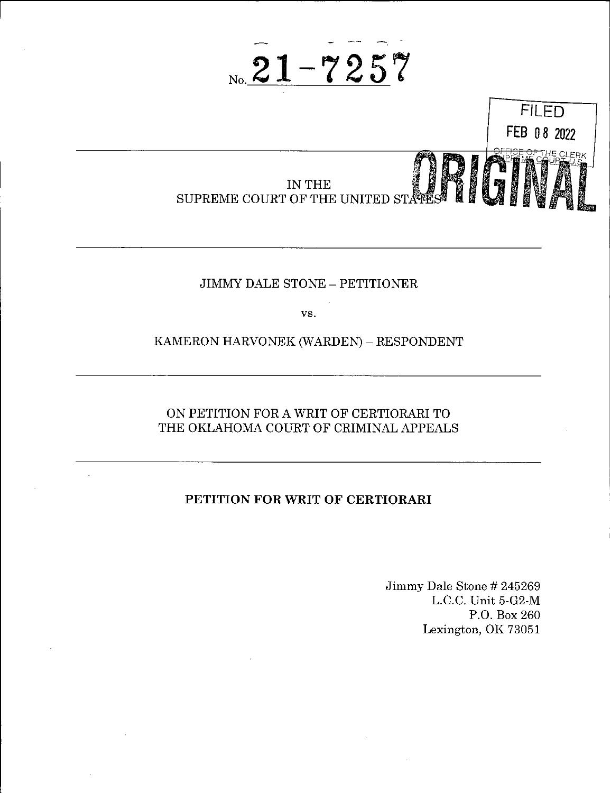



## JIMMY DALE STONE - PETITIONER

vs.

## KAMERON HARVONEK (WARDEN) - RESPONDENT

# ON PETITION FOR A WRIT OF CERTIORARI TO THE OKLAHOMA COURT OF CRIMINAL APPEALS

# **PETITION FOR WRIT OF CERTIORARI**

Jimmy Dale Stone # 245269 L.C.C. Unit 5-G2-M P.O. Box 260 Lexington, OK 73051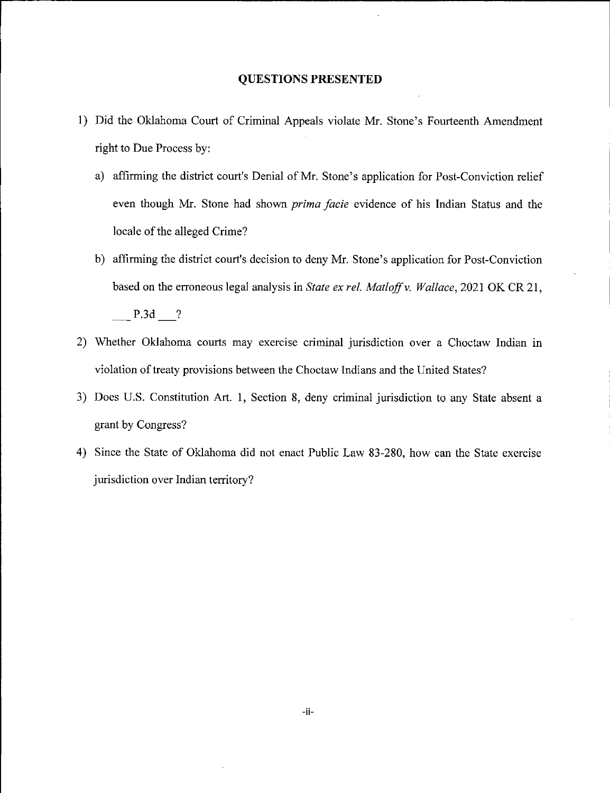## **QUESTIONS PRESENTED**

- 1) Did the Oklahoma Court of Criminal Appeals violate Mr. Stone's Fourteenth Amendment right to Due Process by:
	- a) affirming the district court's Denial of Mr. Stone's application for Post-Conviction relief even though Mr. Stone had shown *prima facie* evidence of his Indian Status and the locale of the alleged Crime?
	- b) affirming the district court's decision to deny Mr. Stone's application for Post-Conviction based on the erroneous legal analysis in *State ex rel. Matloff*v. *Wallace*, 2021 OK CR 21, P.3d ?
- 2) Whether Oklahoma courts may exercise criminal jurisdiction over a Choctaw Indian in violation of treaty provisions between the Choctaw Indians and the United States?
- 3) Does U.S. Constitution Art. 1, Section 8, deny criminal jurisdiction to any State absent a grant by Congress?
- 4) Since the State of Oklahoma did not enact Public Law 83-280, how can the State exercise jurisdiction over Indian territory?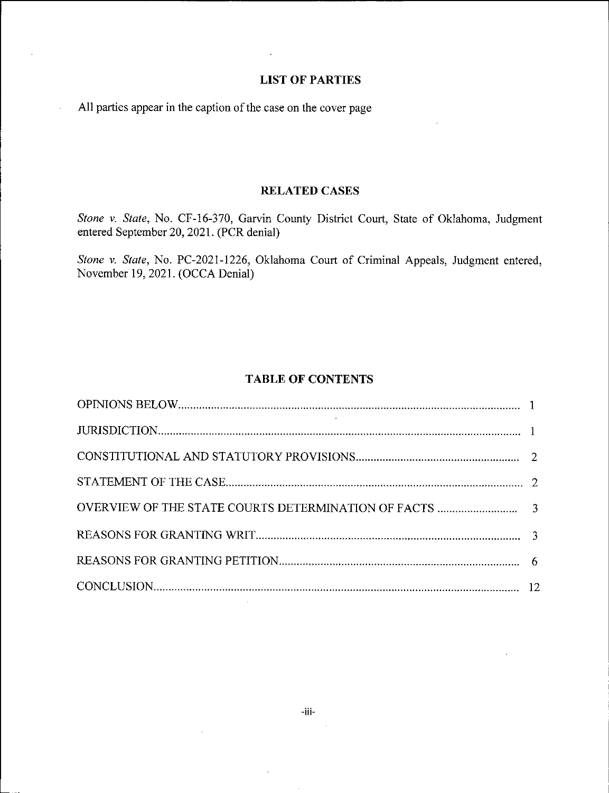## **LIST OF PARTIES**

All parties appear in the caption of the case on the cover page

l,

# **RELATED CASES**

*Stone* v. *State,* No. CF-16-370, Garvin County District Court, State of Oklahoma, Judgment entered September 20, 2021. (PCR denial)

*Stone* v. *State,* No. PC-2021-1226, Oklahoma Court of Criminal Appeals, Judgment entered, November 19, 2021. (OCCA Denial)

## **TABLE OF CONTENTS**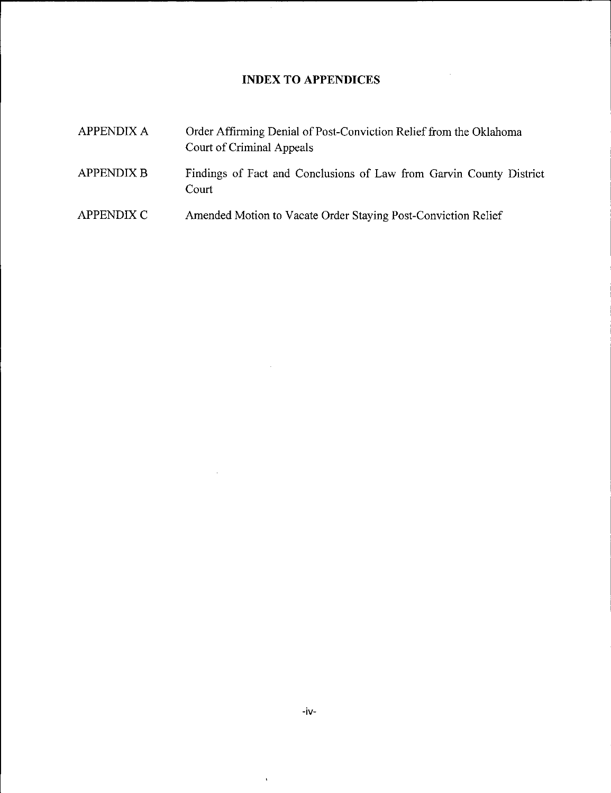# **INDEX TO APPENDICES**

 $\sim$ 

 $\hat{\boldsymbol{\beta}}$ 

 $\sim 10^7$ 

 $\sim 10^{11}$ 

| <b>APPENDIX A</b> | Order Affirming Denial of Post-Conviction Relief from the Oklahoma<br>Court of Criminal Appeals |  |  |
|-------------------|-------------------------------------------------------------------------------------------------|--|--|
| <b>APPENDIX B</b> | Findings of Fact and Conclusions of Law from Garvin County District<br>Court                    |  |  |
| APPENDIX C        | Amended Motion to Vacate Order Staying Post-Conviction Relief                                   |  |  |

 $\bar{\mathbf{r}}$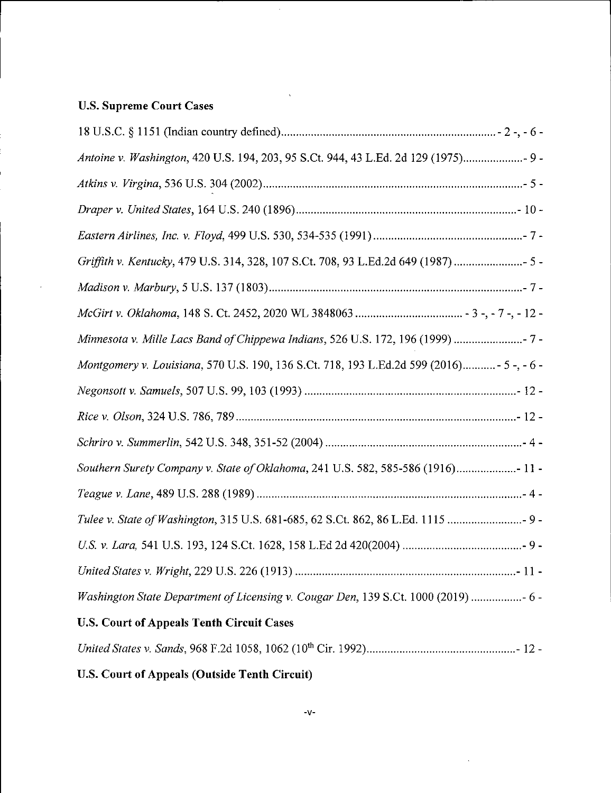# **U.S. Supreme Court Cases**

| Antoine v. Washington, 420 U.S. 194, 203, 95 S.Ct. 944, 43 L.Ed. 2d 129 (1975) 9 -        |
|-------------------------------------------------------------------------------------------|
|                                                                                           |
|                                                                                           |
|                                                                                           |
| Griffith v. Kentucky, 479 U.S. 314, 328, 107 S.Ct. 708, 93 L.Ed.2d 649 (1987)  5 -        |
|                                                                                           |
|                                                                                           |
| Minnesota v. Mille Lacs Band of Chippewa Indians, 526 U.S. 172, 196 (1999)  7 -           |
| Montgomery v. Louisiana, 570 U.S. 190, 136 S.Ct. 718, 193 L.Ed.2d 599 (2016) - 5 -, - 6 - |
|                                                                                           |
|                                                                                           |
|                                                                                           |
| Southern Surety Company v. State of Oklahoma, 241 U.S. 582, 585-586 (1916) 11 -           |
|                                                                                           |
|                                                                                           |
|                                                                                           |
|                                                                                           |
| Washington State Department of Licensing v. Cougar Den, 139 S.Ct. 1000 (2019)  6 -        |
| <b>U.S. Court of Appeals Tenth Circuit Cases</b>                                          |

 $\hat{\mathbf{v}}$ 

*United States* v. *Sands,* 968 F.2d 1058, 1062 (10th Cir. 1992) - 12-

**U.S. Court of Appeals (Outside Tenth Circuit)**

 $\cdot$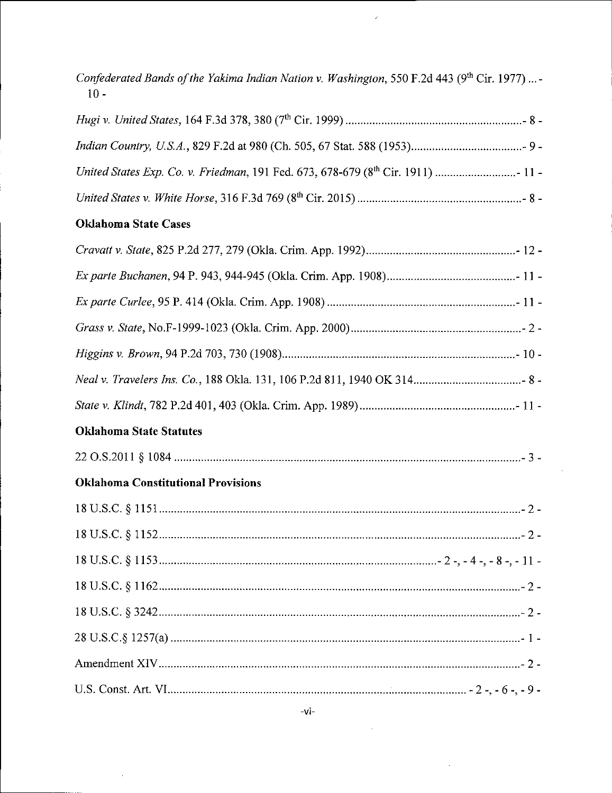| Confederated Bands of the Yakima Indian Nation v. Washington, 550 F.2d 443 (9 <sup>th</sup> Cir. 1977)  -<br>$10 -$ |
|---------------------------------------------------------------------------------------------------------------------|
|                                                                                                                     |
|                                                                                                                     |
|                                                                                                                     |
|                                                                                                                     |
| <b>Oklahoma State Cases</b>                                                                                         |
|                                                                                                                     |
|                                                                                                                     |
|                                                                                                                     |
|                                                                                                                     |
|                                                                                                                     |
|                                                                                                                     |
|                                                                                                                     |
| <b>Oklahoma State Statutes</b>                                                                                      |
|                                                                                                                     |
| <b>Oklahoma Constitutional Provisions</b>                                                                           |
|                                                                                                                     |
|                                                                                                                     |
|                                                                                                                     |
|                                                                                                                     |
|                                                                                                                     |
|                                                                                                                     |
|                                                                                                                     |
|                                                                                                                     |

 $\ddot{\phantom{a}}$ 

 $\hat{\epsilon}$ 

 $\hat{\boldsymbol{\alpha}}$ 

 $\hat{\boldsymbol{\beta}}$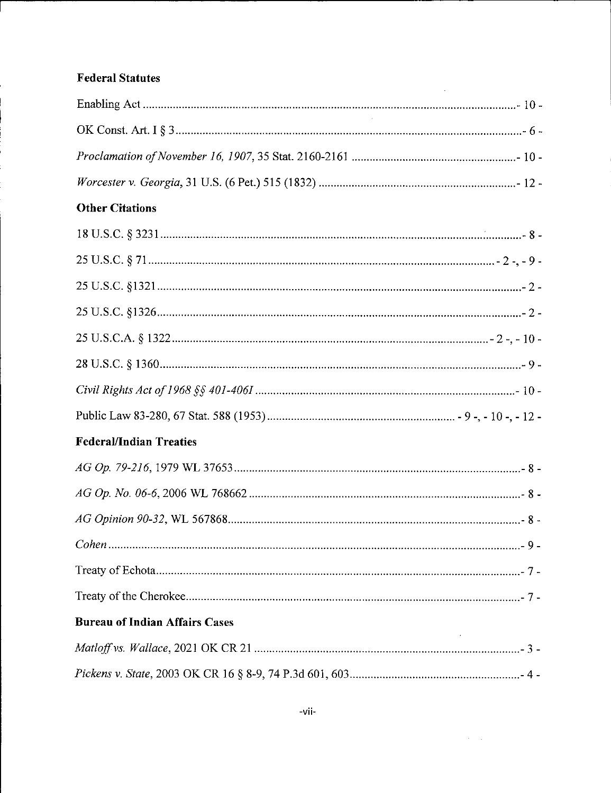# **Federal Statutes**

| <b>Contractor</b>                     |  |
|---------------------------------------|--|
|                                       |  |
|                                       |  |
| <b>Other Citations</b>                |  |
|                                       |  |
|                                       |  |
|                                       |  |
|                                       |  |
|                                       |  |
|                                       |  |
|                                       |  |
|                                       |  |
| <b>Federal/Indian Treaties</b>        |  |
|                                       |  |
|                                       |  |
|                                       |  |
|                                       |  |
|                                       |  |
|                                       |  |
| <b>Bureau of Indian Affairs Cases</b> |  |
|                                       |  |
|                                       |  |

 $\sim 10^{-1}$ 

 $\sim 10^{11}$  km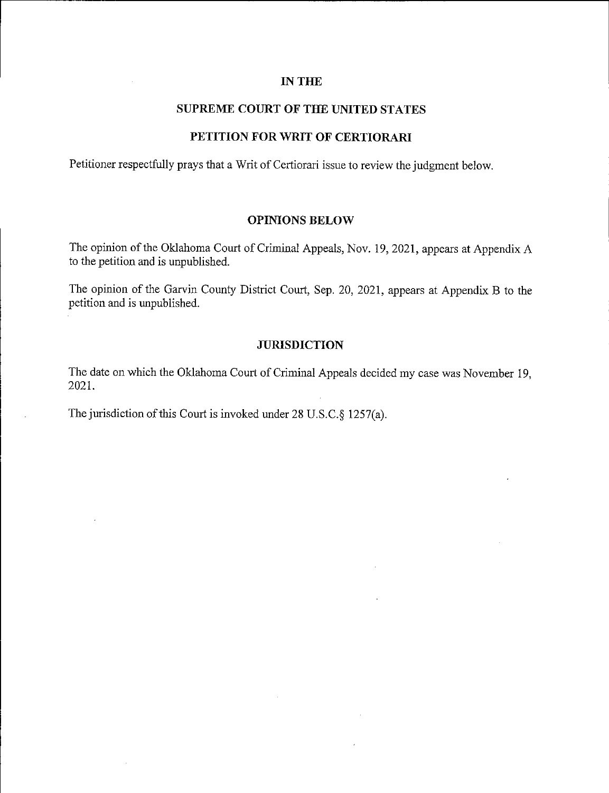## **IN THE**

# **SUPREME COURT OF THE UNITED STATES**

## **PETITION FOR WRIT OF CERTIORARI**

Petitioner respectfully prays that a Writ of Certiorari issue to review the judgment below.

## **OPINIONS BELOW**

The opinion of the Oklahoma Court of Criminal Appeals, Nov. 19, 2021, appears at Appendix A to the petition and is unpublished.

The opinion of the Garvin County District Court, Sep. 20, 2021, appears at Appendix B to the petition and is unpublished.

## **JURISDICTION**

The date on which the Oklahoma Court of Criminal Appeals decided my case was November 19, 2021.

The jurisdiction of this Court is invoked under 28 U.S.C.§ 1257(a).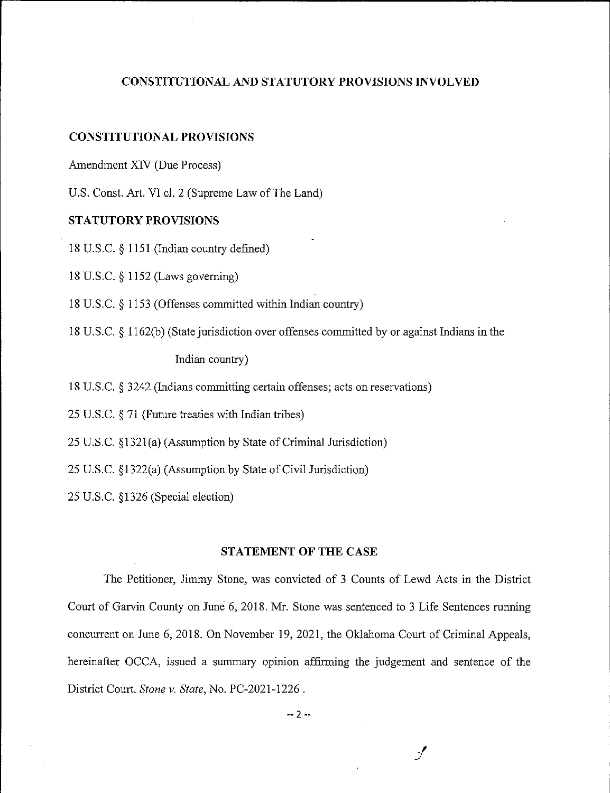## **CONSTITUTIONAL AND STATUTORY PROVISIONS INVOLVED**

#### **CONSTITUTIONAL PROVISIONS**

Amendment XIV (Due Process)

U.S. Const. Art. VI cl. 2 (Supreme Law of The Land)

## **STATUTORY PROVISIONS**

18 U.S.C. § 1151 (Indian country defined)

18 U.S.C. § 1152 (Laws governing)

18 U.S.C. § 1153 (Offenses committed within Indian country)

18 U.S.C. § 1162(b) (State jurisdiction over offenses committed by or against Indians in the

Indian country)

18 U.S.C. § 3242 (Indians committing certain offenses; acts on reservations)

25 U.S.C. § 71 (Future treaties with Indian tribes)

25 U.S.C. §1321(a) (Assumption by State of Criminal Jurisdiction)

25 U.S.C. §1322(a) (Assumption by State of Civil Jurisdiction)

25 U.S.C. §1326 (Special election)

## **STATEMENT** OF THE **CASE**

The Petitioner, Jimmy Stone, was convicted of <sup>3</sup> Counts of Lewd Acts in the District Court of Garvin County on June 6, 2018. Mr. Stone was sentenced to <sup>3</sup> Life Sentences running concurrent on June 6, 2018. On November 19, 2021, the Oklahoma Court of Criminal Appeals, hereinafter OCCA, issued a summary opinion affirming the judgement and sentence of the District Court. *Stone* v. *State,* No. PC-2021-1226 .

*-2-*

 $\mathcal{J}$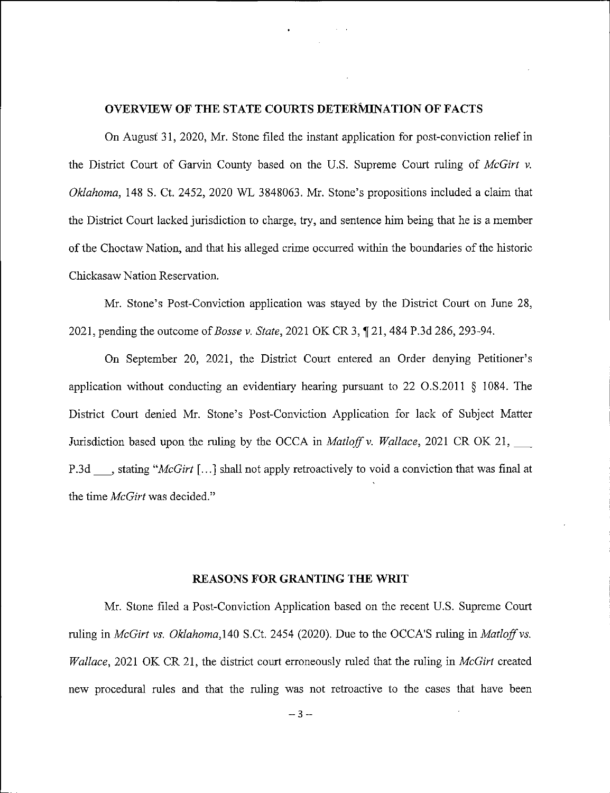## **OVERVIEW OF THE STATE COURTS DETERMINATION OF FACTS**

On August 31, 2020, Mr. Stone filed the instant application for post-conviction relief in the District Court of Garvin County based on the U.S. Supreme Court ruling of *McGirt v. Oklahoma,* 148 S. Ct. 2452, 2020 WL 3848063. Mr. Stone's propositions included a claim that the District Court lacked jurisdiction to charge, try, and sentence him being that he is a member of the Choctaw Nation, and that his alleged crime occurred within the boundaries of the historic Chickasaw Nation Reservation.

Mr. Stone's Post-Conviction application was stayed by the District Court on June 28, 2021, pending the outcome of*Bosse v. State,* <sup>2021</sup> OK CR 3, f 21, <sup>484</sup> P.3d 286, 293-94.

On September 20, 2021, the District Court entered an Order denying Petitioner's application without conducting an evidentiary hearing pursuant to 22 O.S.2011 § 1084. The District Court denied Mr. Stone's Post-Conviction Application for lack of Subject Matter Jurisdiction based upon the ruling by the OCCA in *Matloff* v. *Wallace*, 2021 CR OK 21, P.3d , stating "*McGirt* [...] shall not apply retroactively to void a conviction that was final at the time *McGirt* was decided."

#### **REASONS FOR GRANTING THE WRIT**

Mr. Stone filed a Post-Conviction Application based on the recent U.S. Supreme Court ruling in *McGirt vs. Oklahoma,* 140 S.Ct. 2454 (2020). Due to the OCCA'S ruling in *Matloff*vs. *Wallace,* 2021 OK CR 21, the district court erroneously ruled that the ruling in *McGirt* created new procedural rules and that the ruling was not retroactive to the cases that have been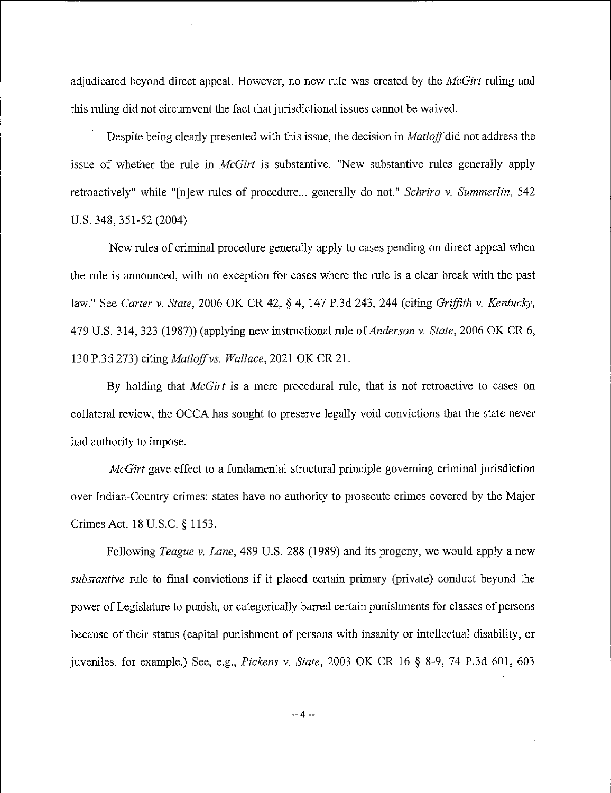adjudicated beyond direct appeal. However, no new rule was created by the *McGirt* ruling and this ruling did not circumvent the fact that jurisdictional issues cannot be waived.

Despite being clearly presented with this issue, the decision in *Matloff*did not address the issue of whether the rule in *McGirt* is substantive. "New substantive rules generally apply retroactively" while "[n]ew rules of procedure... generally do not." *Schriro* v. *Summerlin*, 542 U.S. 348,351-52 (2004)

New rules of criminal procedure generally apply to cases pending on direct appeal when the rule is announced, with no exception for cases where the rule is a clear break with the past law." See *Carter* v. *State*, 2006 OK CR 42, § 4, 147 P.3d 243, 244 (citing *Griffith* v. *Kentucky,* 479 U.S. 314, 323 (1987)) (applying new instructional rule of*Anderson* v. *State,* 2006 OK CR 6, 130 P.3d 273) citing *Matloffvs. Wallace,* 2021 OK CR 21.

By holding that *McGirt* is a mere procedural rule, that is not retroactive to cases on collateral review, the OCCA has sought to preserve legally void convictions that the state never had authority to impose.

*McGirt* gave effect to a fundamental structural principle governing criminal jurisdiction over Indian-Country crimes: states have no authority to prosecute crimes covered by the Major Crimes Act. 18U.S.C. § 1153.

Following *Teague* v. *Lane,* 489 U.S. 288 (1989) and its progeny, we would apply a new *substantive* rule to fmal convictions if it placed certain primary (private) conduct beyond the power of Legislature to punish, or categorically barred certain punishments for classes of persons because of their status (capital punishment of persons with insanity or intellectual disability, or juveniles, for example.) See, e.g., *Pickens* v. *State,* 2003 OK CR 16 § 8-9, 74 P.3d 601, 603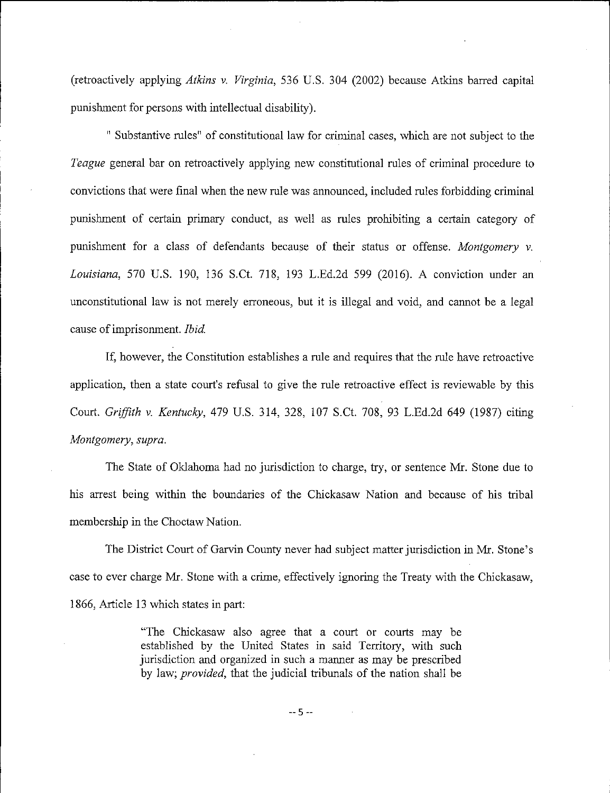(retroactively applying *Atkins* v. *Virginia,* 536 U.S. 304 (2002) because Atkins barred capital punishment for persons with intellectual disability).

" Substantive rules" of constitutional law for criminal cases, which are not subject to the *Teague* general bar on retroactively applying new constitutional rules of criminal procedure to convictions that were final when the new rule was announced, included rules forbidding criminal punishment of certain primary conduct, as well as rules prohibiting a certain category of punishment for a class of defendants because of their status or offense. *Montgomery* v. *Louisiana*, 570 U.S. 190, 136 S.Ct. 718, 193 L.Ed.2d 599 (2016). A conviction under an unconstitutional law is not merely erroneous, but it is illegal and void, and cannot be a legal cause of imprisonment. *Ibid.* 

If, however, the Constitution establishes a rule and requires that the rule have retroactive application, then a state court's refusal to give the rule retroactive effect is reviewable by this Court. *Griffith* v. *Kentucky,* 479 U.S. 314, 328, 107 S.Ct. 708, 93 L.Ed.2d 649 (1987) citing *Montgomery*, *supra.*

The State of Oklahoma had no jurisdiction to charge, try, or sentence Mr. Stone due to his arrest being within the boundaries of the Chickasaw Nation and because of his tribal membership in the Choctaw Nation.

The District Court of Garvin County never had subject matter jurisdiction in Mr. Stone's case to ever charge Mr. Stone with a crime, effectively ignoring the Treaty with the Chickasaw, 1866, Article 13 which states in part:

> "The Chickasaw also agree that a court or courts may be established by the United States in said Territory, with such jurisdiction and organized in such a manner as may be prescribed by law; *provided,* that the judicial tribunals of the nation shall be

> > **-5-**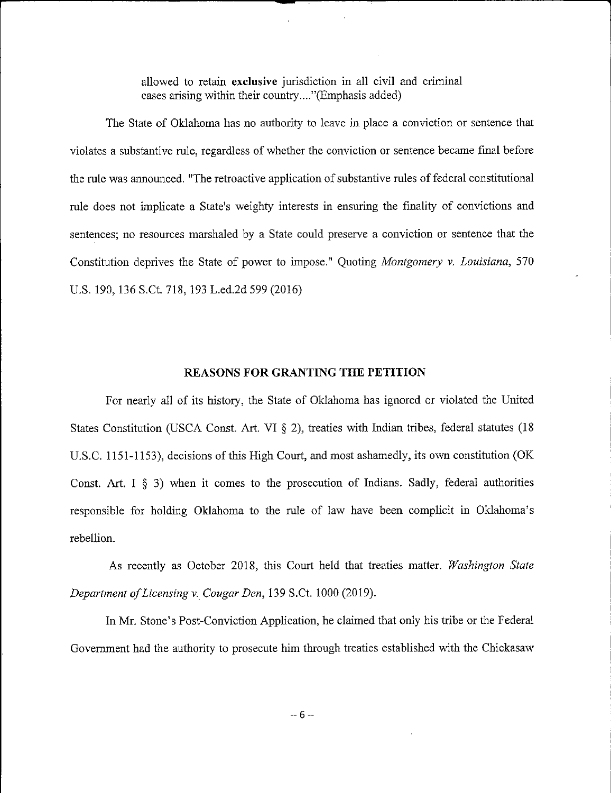allowed to retain **exclusive** jurisdiction in all civil and criminal cases arising within their country....''(Emphasis added)

The State of Oklahoma has no authority to leave in place a conviction or sentence that violates a substantive rule, regardless of whether the conviction or sentence became final before the rule was announced. "The retroactive application of substantive rules of federal constitutional rule does not implicate a State's weighty interests in ensuring the finality of convictions and sentences; no resources marshaled by a State could preserve a conviction or sentence that the Constitution deprives the State of power to impose." Quoting *Montgomery* v. *Louisiana,* 570 U.S. 190, 136 S.Ct. 718, 193 L.ed.2d 599 (2016)

#### **REASONS FOR GRANTING THE PETITION**

For nearly all of its history, the State of Oklahoma has ignored or violated the United States Constitution (USCA Const. Art. VI § 2), treaties with Indian tribes, federal statutes (18 U.S.C. 1151-1153), decisions of this High Court, and most ashamedly, its own constitution (OK Const. Art. I  $\S$  3) when it comes to the prosecution of Indians. Sadly, federal authorities responsible for holding Oklahoma to the rule of law have been complicit in Oklahoma's rebellion.

As recently as October 2018, this Court held that treaties matter. *Washington State Department ofLicensing v. Cougar Den,* 139 S.Ct. 1000(2019).

In Mr. Stone's Post-Conviction Application, he claimed that only his tribe or the Federal Government had the authority to prosecute him through treaties established with the Chickasaw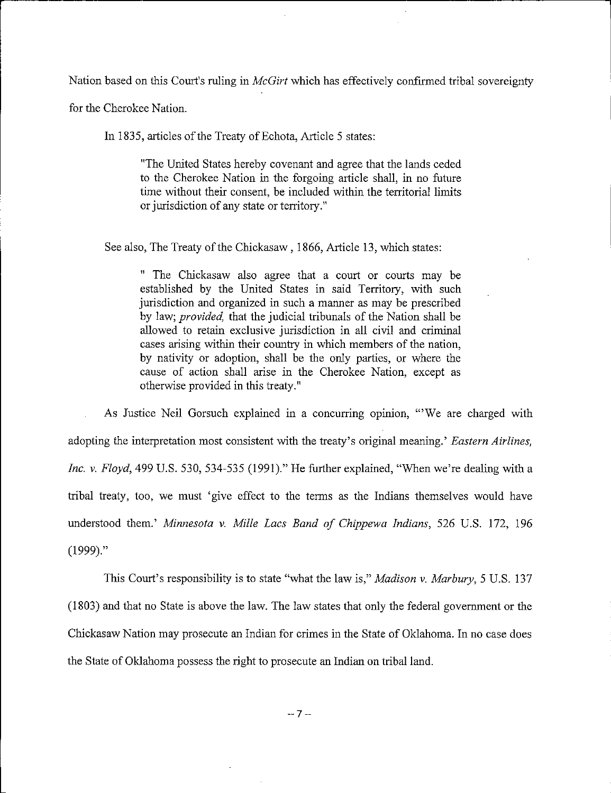Nation based on this Court's ruling in *McGirt* which has effectively confirmed tribal sovereignty

for the Cherokee Nation.

In 1835, articles of the Treaty of Echota, Article 5 states:

"The United States hereby covenant and agree that the lands ceded to the Cherokee Nation in the forgoing article shall, in no future time without their consent, be included within the territorial limits or jurisdiction of any state or territory."

See also, The Treaty of the Chickasaw, 1866, Article 13, which states:

" The Chickasaw also agree that a court or courts may be established by the United States in said Territory, with such jurisdiction and organized in such a manner as may be prescribed by law; *provided*, that the judicial tribunals of the Nation shall be allowed to retain exclusive jurisdiction in all civil and criminal cases arising within their country in which members of the nation, by nativity or adoption, shall be the only parties, or where the cause of action shall arise in the Cherokee Nation, except as otherwise provided in this treaty."

As Justice Neil Gorsuch explained in a concurring opinion, "'We are charged with adopting the interpretation most consistent with the treaty's original meaning.' *Eastern Airlines, Inc.* v. *Floyd*, 499 U.S. 530, 534-535 (1991)." He further explained, "When we're dealing with a tribal treaty, too, we must 'give effect to the terms as the Indians themselves would have understood them.' *Minnesota* v. *Mille Lacs Band of Chippewa Indians,* 526 U.S. 172, 196 (1999)."

This Court's responsibility is to state "what the law is," *Madison* v. *Marbury,* 5 U.S. 137 (1803) and that no State is above the law. The law states that only the federal government or the Chickasaw Nation may prosecute an Indian for crimes in the State of Oklahoma. In no case does the State ofOklahoma possess the right to prosecute an Indian on tribal land.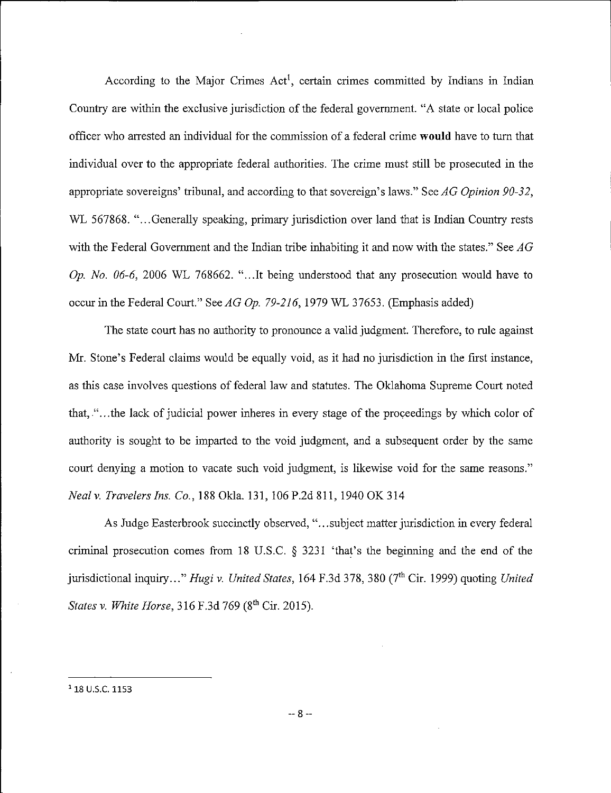According to the Major Crimes Act<sup>1</sup>, certain crimes committed by Indians in Indian Country are within the exclusive jurisdiction of the federal government. "A state or local police officer who arrested an individual for the commission of a federal crime **would** have to turn that individual over to the appropriate federal authorities. The crime must still be prosecuted in the appropriate sovereigns' tribunal, and according to that sovereign's laws." See *AG Opinion 90-32,* WL 567868. "...Generally speaking, primary jurisdiction over land that is Indian Country rests with the Federal Government and the Indian tribe inhabiting it and now with the states." See *AG Op. No. 06-6*, 2006 WL 768662. "...It being understood that any prosecution would have to occur in the Federal Court." S*eeAGOp. 79-216,*1979 WL 37653. (Emphasis added)

The state court has no authority to pronounce a valid judgment. Therefore, to rule against Mr. Stone's Federal claims would be equally void, as it had no jurisdiction in the first instance, as this case involves questions of federal law and statutes. The Oklahoma Supreme Court noted that, "...the lack of judicial power inheres in every stage of the proceedings by which color of authority is sought to be imparted to the void judgment, and a subsequent order by the same court denying a motion to vacate such void judgment, is likewise void for the same reasons." *Nealv. Travelers Ins. Co.,* 188 Okla. 131, 106P.2d811, 1940 OK314

As Judge Easterbrook succinctly observed, "...subject matter jurisdiction in every federal criminal prosecution comes from 18 U.S.C. § 3231 'that's the beginning and the end of the jurisdictional inquiry..." *Hugi v. United States*, 164 F.3d 378, 380 (7<sup>th</sup> Cir. 1999) quoting *United States v. White Horse,* 316 F.3d 769 (8th Cir. 2015).

<sup>&</sup>lt;sup>1</sup> 18 U.S.C. 1153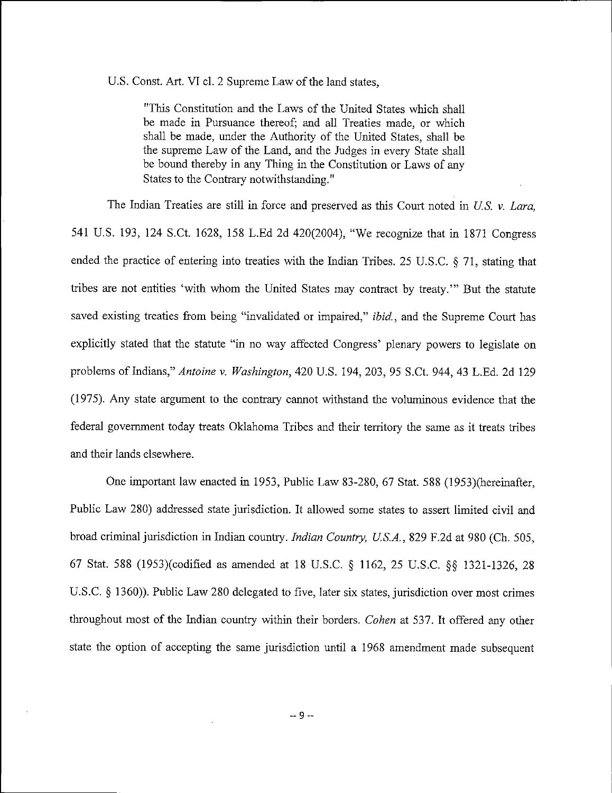U.S. Const. Art. VI cl. 2 Supreme Law of the land states,

"This Constitution and the Laws of the United States which shall be made in Pursuance thereof; and all Treaties made, or which shall be made, under the Authority of the United States, shall be the supreme Law of the Land, and the Judges in every State shall be bound thereby in any Thing in the Constitution or Laws of any States to the Contrary notwithstanding."

The Indian Treaties are still in force and preserved as this Court noted in *U.S.* v. *Lara,* 541 U.S. 193, 124 S.Ct. 1628, 158 L.Ed 2d 420(2004), "We recognize that in 1871 Congress ended the practice of entering into treaties with the Indian Tribes. 25 U.S.C. § 71, stating that tribes are not entities 'with whom the United States may contract by treaty.'" But the statute saved existing treaties from being "invalidated or impaired," *ibid.,* and the Supreme Court has explicitly stated that the statute "in no way affected Congress' plenary powers to legislate on problems of Indians," *Antoine v. Washington*, 420 U.S. 194, 203, 95 S.Ct. 944, 43 L.Ed. 2d 129 (1975). Any state argument to the contrary cannot withstand the voluminous evidence that the federal government today treats Oklahoma Tribes and their territory the same as it treats tribes and their lands elsewhere.

One important law enacted in 1953, Public Law 83-280, 67 Stat. 588 (1953)(hereinafter, Public Law 280) addressed state jurisdiction. It allowed some states to assert limited civil and broad criminal jurisdiction in Indian country. *Indian Country, U.S.A.*, 829 F.2d at 980 (Ch. 505, 67 Stat. 588 (1953)(codified as amended at 18 U.S.C. § 1162, 25 U.S.C. §§ 1321-1326, 28 U.S.C. § 1360)). Public Law 280 delegated to five, later six states, jurisdiction over most crimes throughout most of the Indian country within their borders. *Cohen* at 537. It offered any other state the option of accepting the same jurisdiction until a 1968 amendment made subsequent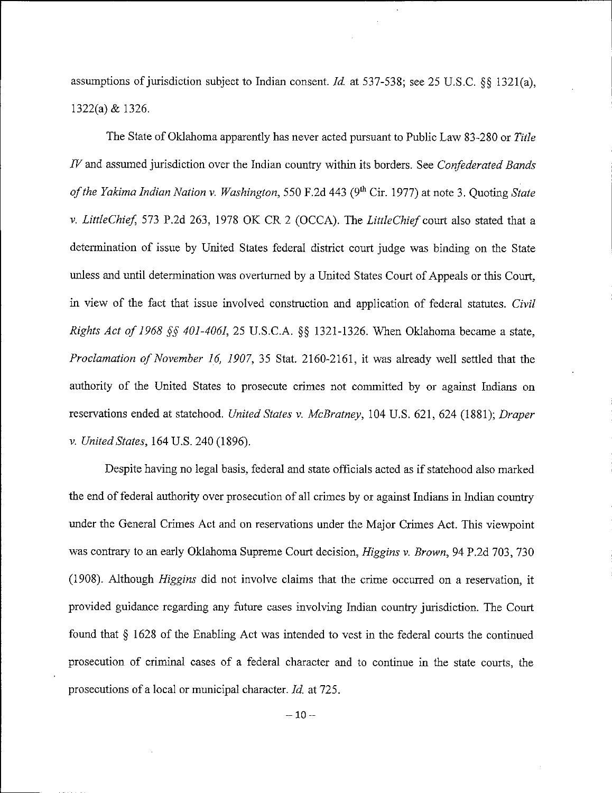assumptions of jurisdiction subject to Indian consent. *Id.* at 537-538; see 25 U.S.C. §§ 1321(a), 1322(a) & 1326.

The State of Oklahoma apparently has never acted pursuant to Public Law 83-280 or *Title IV*and assumed jurisdiction over the Indian country within its borders. See *Confederated Bands ofthe Yakima Indian Nation* v. *Washington,* 550 F.2d 443 (9th Cir. 1977) at note 3. Quoting *State* v. *LittleChief* 573 P.2d 263, 1978 OK CR 2 (OCCA). The *LittleChief* court also stated that a determination of issue by United States federal district court judge was binding on the State unless and until determination was overturned by a United States Court of Appeals or this Court, in view of the fact that issue involved construction and application of federal statutes. *Civil Rights Act of 1968 §§ 401-4061,* 25 U.S.C.A. §§ 1321-1326. When Oklahoma became a state, *Proclamation of November 16, 1907, 35 Stat. 2160-2161, it was already well settled that the* authority of the United States to prosecute crimes not committed by or against Indians on reservations ended at statehood. *United States v. McBratney*, 104 U.S. 621, 624 (1881); *Draper v. United States,* 164 U.S. 240 (1896).

Despite having no legal basis, federal and state officials acted as if statehood also marked the end of federal authority over prosecution of all crimes by or against Indians in Indian country under the General Crimes Act and on reservations under the Major Crimes Act. This viewpoint was contrary to an early Oklahoma Supreme Court decision, *Higgins v. Brown*, 94 P.2d 703, 730 (1908). Although *Higgins* did not involve claims that the crime occurred on a reservation, it provided guidance regarding any future cases involving Indian country jurisdiction. The Court found that § 1628 of the Enabling Act was intended to vest in the federal courts the continued prosecution of criminal cases of a federal character and to continue in the state courts, the prosecutions of a local or municipal character. *Id.* at 725.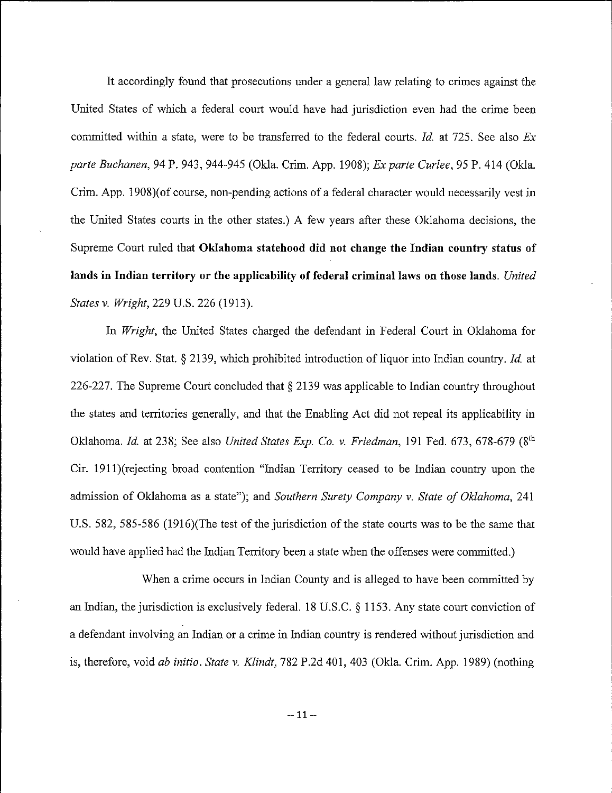It accordingly found that prosecutions under a general law relating to crimes against the United States of which a federal court would have had jurisdiction even had the crime been committed within a state, were to be transferred to the federal courts. *Id.* at 725. See also *Ex parte Buchanen,* 94 P. 943, 944-945 (Okla. Crim. App. 1908); *Exparte Curlee,* 95 P. 414 (Okla. Crim. App. 1908)(of course, non-pending actions of a federal character would necessarily vest in the United States courts in the other states.) A few years after these Oklahoma decisions, the Supreme Court ruled that **Oklahoma statehood did not change the Indian country status of lands in Indian territory or the applicability offederal criminal laws on those lands.** *United States* v. *Wright*, 229 U.S. 226 (1913).

In *Wright*, the United States charged the defendant in Federal Court in Oklahoma for violation of Rev. Stat. § 2139, which prohibited introduction of liquor into Indian country. *Id.* at 226-227. The Supreme Court concluded that § 2139 was applicable to Indian country throughout the states and territories generally, and that the Enabling Act did not repeal its applicability in Oklahoma. *Id.* at 238; See also *United States Exp. Co.* v. *Friedman,* 191 Fed. 673, 678-679 (8th Cir. 1911)(rejecting broad contention "Indian Territory ceased to be Indian country upon the admission of Oklahoma as a state"); and *Southern Surety Company* v. *State of Oklahoma*, 241 U.S. 582, 585-586 (1916)(The test of the jurisdiction of the state courts was to be the same that would have applied had the Indian Territory been a state when the offenses were committed.)

When a crime occurs in Indian County and is alleged to have been committed by an Indian, the jurisdiction is exclusively federal. 18 U.S.C. § 1153. Any state court conviction of a defendant involving an Indian or a crime in Indian country is rendered without jurisdiction and is, therefore, void *ab initio. State* v. *Klindt,* 782 P.2d 401, 403 (Okla. Crim. App. 1989) (nothing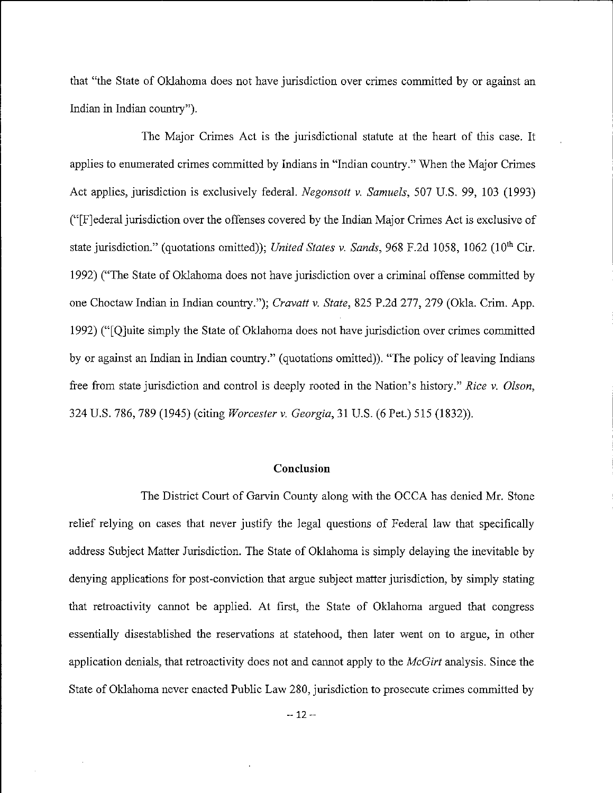that "the State of Oklahoma does not have jurisdiction over crimes committed by or against an Indian in Indian country").

The Major Crimes Act is the jurisdictional statute at the heart of this case. It applies to enumerated crimes committed by Indians in "Indian country." When the Major Crimes Act applies, jurisdiction is exclusively federal. *Negonsott v. Samuels*, 507 U.S. 99, 103 (1993) ("[Fjederal jurisdiction over the offenses covered by the Indian Major Crimes Act is exclusive of state jurisdiction." (quotations omitted)); *United States v. Sands*, 968 F.2d 1058, 1062 (10<sup>th</sup> Cir. 1992) ("The State of Oklahoma does not have jurisdiction over a criminal offense committed by one Choctaw Indian in Indian country."); *Cravatt v. State,* 825 P.2d 277, 279 (Okla. Crim. App. 1992) ("[Qjuite simply the State of Oklahoma does not have jurisdiction over crimes committed by or against an Indian in Indian country." (quotations omitted)). "The policy of leaving Indians free from state jurisdiction and control is deeply rooted in the Nation's history." *Rice* v. *Olson,* 324 U.S. 786, 789 (1945) (citing *Worcester* v. *Georgia,* 31 U.S. (6 Pet.) 515 (1832)).

## **Conclusion**

The District Court of Garvin County along with the OCCA has denied Mr. Stone relief relying on cases that never justify the legal questions of Federal law that specifically address Subject Matter Jurisdiction. The State of Oklahoma is simply delaying the inevitable by denying applications for post-conviction that argue subject matter jurisdiction, by simply stating that retroactivity cannot be applied. At first, the State of Oklahoma argued that congress essentially disestablished the reservations at statehood, then later went on to argue, in other application denials, that retroactivity does not and cannot apply to the *McGirt* analysis. Since the State of Oklahoma never enacted Public Law 280, jurisdiction to prosecute crimes committed by